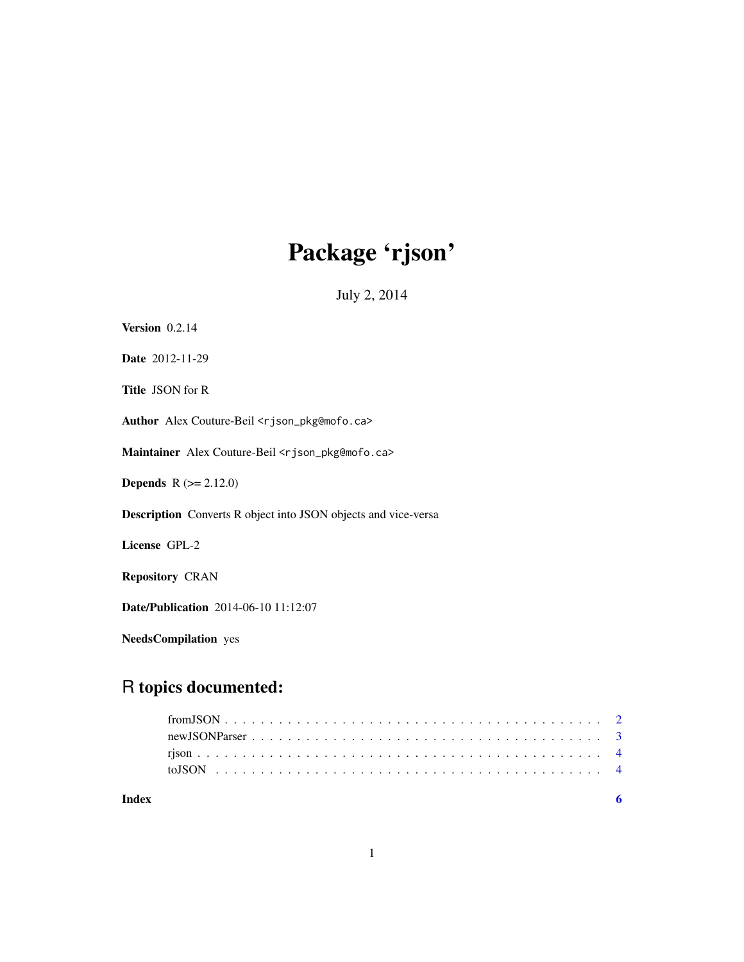# Package 'rjson'

July 2, 2014

| Version $0.2.14$                                                      |
|-----------------------------------------------------------------------|
| Date 2012-11-29                                                       |
| <b>Title JSON</b> for R                                               |
| Author Alex Couture-Beil <rjson_pkg@mofo.ca></rjson_pkg@mofo.ca>      |
| Maintainer Alex Couture-Beil <rjson_pkg@mofo.ca></rjson_pkg@mofo.ca>  |
| <b>Depends</b> $R (= 2.12.0)$                                         |
| <b>Description</b> Converts R object into JSON objects and vice-versa |
| License GPL-2                                                         |
| <b>Repository CRAN</b>                                                |
| <b>Date/Publication</b> 2014-06-10 11:12:07                           |
|                                                                       |

NeedsCompilation yes

# R topics documented:

| Index |  |  |  |  |  |  |  |  |  |  |  |  |  |  |  |  |  |  |  |
|-------|--|--|--|--|--|--|--|--|--|--|--|--|--|--|--|--|--|--|--|
|       |  |  |  |  |  |  |  |  |  |  |  |  |  |  |  |  |  |  |  |
|       |  |  |  |  |  |  |  |  |  |  |  |  |  |  |  |  |  |  |  |
|       |  |  |  |  |  |  |  |  |  |  |  |  |  |  |  |  |  |  |  |
|       |  |  |  |  |  |  |  |  |  |  |  |  |  |  |  |  |  |  |  |
|       |  |  |  |  |  |  |  |  |  |  |  |  |  |  |  |  |  |  |  |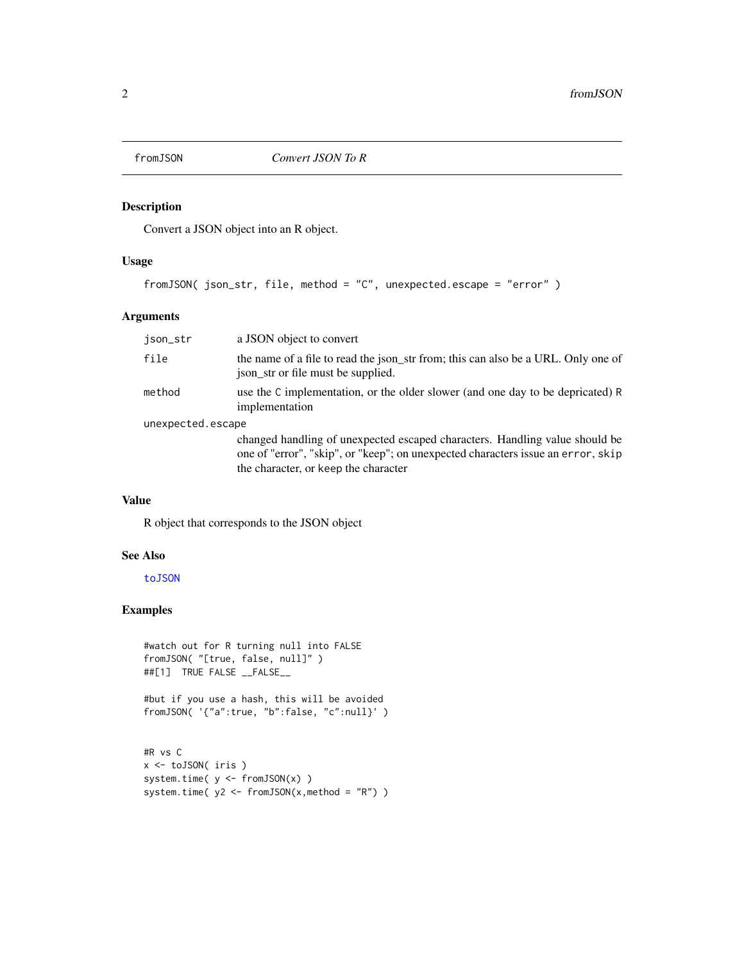<span id="page-1-1"></span><span id="page-1-0"></span>

# Description

Convert a JSON object into an R object.

# Usage

fromJSON( json\_str, file, method = "C", unexpected.escape = "error" )

# Arguments

| json_str          | a JSON object to convert                                                                                                                                                                                |
|-------------------|---------------------------------------------------------------------------------------------------------------------------------------------------------------------------------------------------------|
| file              | the name of a file to read the json_str from; this can also be a URL. Only one of<br>json_str or file must be supplied.                                                                                 |
| method            | use the C implementation, or the older slower (and one day to be depricated) R<br>implementation                                                                                                        |
| unexpected.escape |                                                                                                                                                                                                         |
|                   | changed handling of unexpected escaped characters. Handling value should be<br>one of "error", "skip", or "keep"; on unexpected characters issue an error, skip<br>the character, or keep the character |

# Value

R object that corresponds to the JSON object

# See Also

[toJSON](#page-3-1)

# Examples

```
#watch out for R turning null into FALSE
fromJSON( "[true, false, null]" )
##[1] TRUE FALSE __FALSE__
#but if you use a hash, this will be avoided
fromJSON( '{"a":true, "b":false, "c":null}' )
#R vs C
x <- toJSON( iris )
system.time( y <- fromJSON(x) )
system.time(y2 \leq - fromJSON(x, method = "R") )
```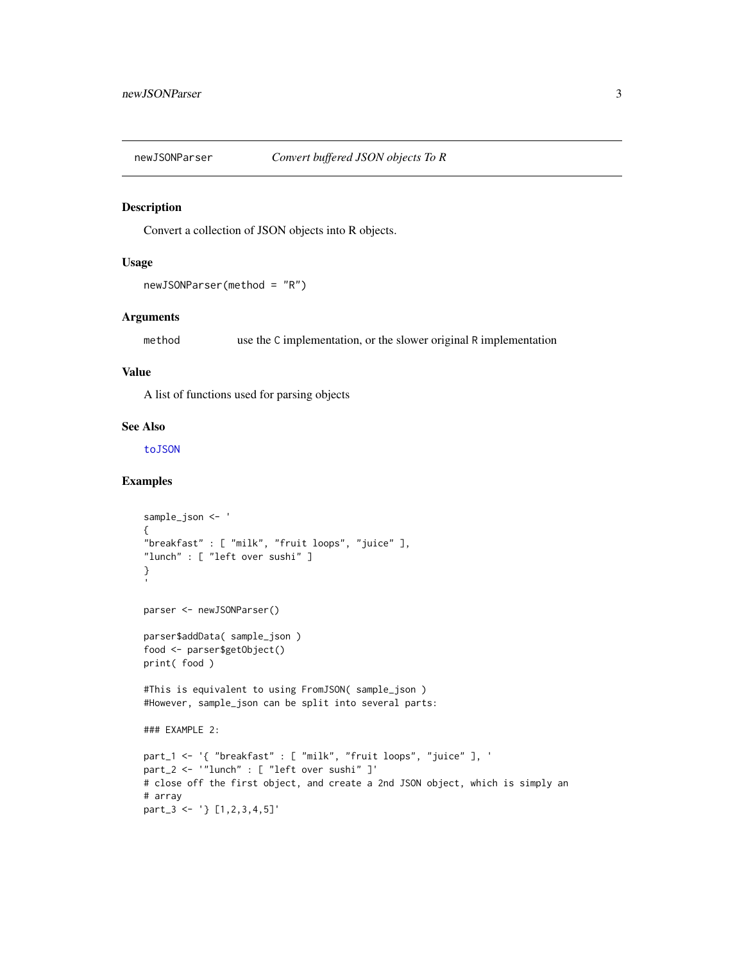<span id="page-2-0"></span>

#### Description

Convert a collection of JSON objects into R objects.

#### Usage

```
newJSONParser(method = "R")
```
#### Arguments

method use the C implementation, or the slower original R implementation

#### Value

A list of functions used for parsing objects

#### See Also

[toJSON](#page-3-1)

# Examples

```
sample_json <- '
{
"breakfast" : [ "milk", "fruit loops", "juice" ],
"lunch" : [ "left over sushi" ]
}
parser <- newJSONParser()
parser$addData( sample_json )
food <- parser$getObject()
print( food )
#This is equivalent to using FromJSON( sample_json )
#However, sample_json can be split into several parts:
### EXAMPLE 2:
part_1 <- '{ "breakfast" : [ "milk", "fruit loops", "juice" ], '
part_2 <- '"lunch" : [ "left over sushi" ]'
# close off the first object, and create a 2nd JSON object, which is simply an
# array
part_3 <- '} [1,2,3,4,5]'
```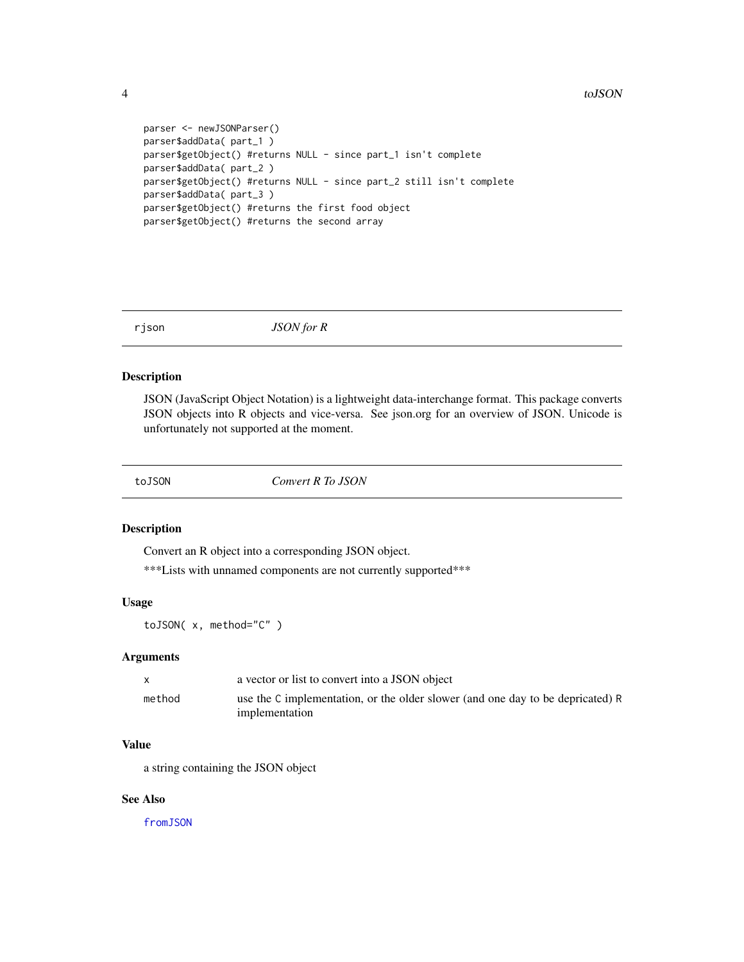```
parser <- newJSONParser()
parser$addData( part_1 )
parser$getObject() #returns NULL - since part_1 isn't complete
parser$addData( part_2 )
parser$getObject() #returns NULL - since part_2 still isn't complete
parser$addData( part_3 )
parser$getObject() #returns the first food object
parser$getObject() #returns the second array
```
rjson *JSON for R*

#### Description

JSON (JavaScript Object Notation) is a lightweight data-interchange format. This package converts JSON objects into R objects and vice-versa. See json.org for an overview of JSON. Unicode is unfortunately not supported at the moment.

<span id="page-3-1"></span>

toJSON *Convert R To JSON*

#### Description

Convert an R object into a corresponding JSON object.

\*\*\*Lists with unnamed components are not currently supported\*\*\*

#### Usage

toJSON( x, method="C" )

#### Arguments

|        | a vector or list to convert into a JSON object                                                   |
|--------|--------------------------------------------------------------------------------------------------|
| method | use the C implementation, or the older slower (and one day to be depricated) R<br>implementation |

# Value

a string containing the JSON object

# See Also

[fromJSON](#page-1-1)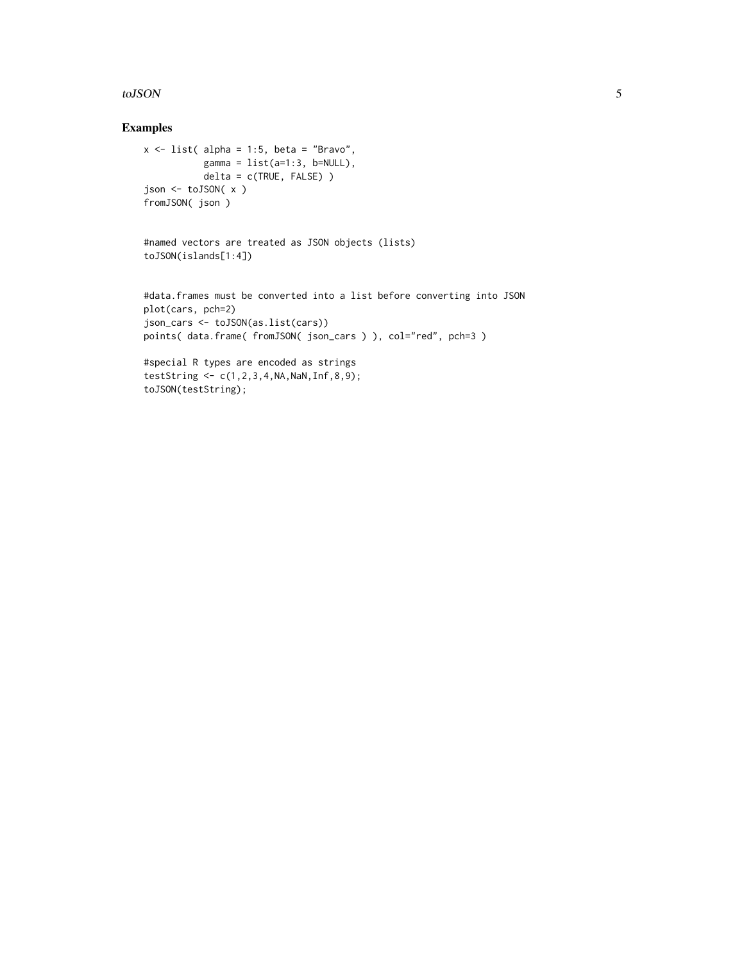#### toJSON 5

# Examples

```
x \le - list( alpha = 1:5, beta = "Bravo",
          gamma = list(a=1:3, b=NULL),delta = c(TRUE, FALSE) )
json <- toJSON( x )
fromJSON( json )
```

```
#named vectors are treated as JSON objects (lists)
toJSON(islands[1:4])
```

```
#data.frames must be converted into a list before converting into JSON
plot(cars, pch=2)
json_cars <- toJSON(as.list(cars))
points( data.frame( fromJSON( json_cars ) ), col="red", pch=3 )
```

```
#special R types are encoded as strings
testString <- c(1,2,3,4,NA,NaN,Inf,8,9);
toJSON(testString);
```